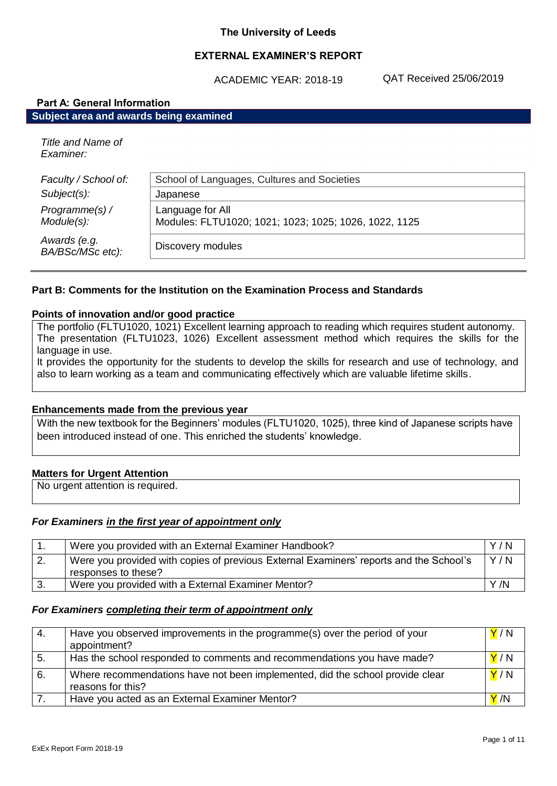### **The University of Leeds**

## **EXTERNAL EXAMINER'S REPORT**

ACADEMIC YEAR: 2018-19

QAT Received 25/06/2019

| <b>Part A: General Information</b>     |                                                                           |  |
|----------------------------------------|---------------------------------------------------------------------------|--|
| Subject area and awards being examined |                                                                           |  |
| Title and Name of<br>Examiner:         |                                                                           |  |
| Faculty / School of:                   | School of Languages, Cultures and Societies                               |  |
| $Subject(s)$ :                         | Japanese                                                                  |  |
| Programme(s) /<br>Module(s):           | Language for All<br>Modules: FLTU1020; 1021; 1023; 1025; 1026, 1022, 1125 |  |
| Awards (e.g.<br>BA/BSc/MSc etc):       | Discovery modules                                                         |  |

### **Part B: Comments for the Institution on the Examination Process and Standards**

### **Points of innovation and/or good practice**

The portfolio (FLTU1020, 1021) Excellent learning approach to reading which requires student autonomy. The presentation (FLTU1023, 1026) Excellent assessment method which requires the skills for the language in use.

It provides the opportunity for the students to develop the skills for research and use of technology, and also to learn working as a team and communicating effectively which are valuable lifetime skills.

### **Enhancements made from the previous year**

With the new textbook for the Beginners' modules (FLTU1020, 1025), three kind of Japanese scripts have been introduced instead of one. This enriched the students' knowledge.

### **Matters for Urgent Attention**

No urgent attention is required.

### *For Examiners in the first year of appointment only*

|    | Were you provided with an External Examiner Handbook?                                                         | Y/N |
|----|---------------------------------------------------------------------------------------------------------------|-----|
| 2. | Were you provided with copies of previous External Examiners' reports and the School's<br>responses to these? | Y/N |
| 3. | Were you provided with a External Examiner Mentor?                                                            | Y/N |

### *For Examiners completing their term of appointment only*

| 4. | Have you observed improvements in the programme(s) over the period of your<br>appointment?         | Y/N |
|----|----------------------------------------------------------------------------------------------------|-----|
| 5. | Has the school responded to comments and recommendations you have made?                            | Y/N |
| 6. | Where recommendations have not been implemented, did the school provide clear<br>reasons for this? | Y/N |
|    | Have you acted as an External Examiner Mentor?                                                     | Y/N |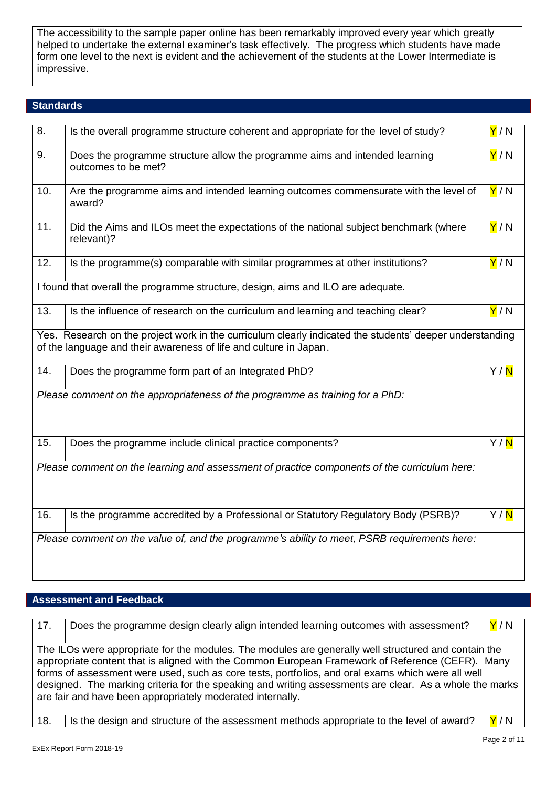The accessibility to the sample paper online has been remarkably improved every year which greatly helped to undertake the external examiner's task effectively. The progress which students have made form one level to the next is evident and the achievement of the students at the Lower Intermediate is impressive.

### **Standards**

| 8.                                                                               | Is the overall programme structure coherent and appropriate for the level of study?                                                                                           | Y/N               |
|----------------------------------------------------------------------------------|-------------------------------------------------------------------------------------------------------------------------------------------------------------------------------|-------------------|
| 9.                                                                               | Does the programme structure allow the programme aims and intended learning<br>outcomes to be met?                                                                            | Y/N               |
| 10.                                                                              | Are the programme aims and intended learning outcomes commensurate with the level of<br>award?                                                                                | Y/N               |
| 11.                                                                              | Did the Aims and ILOs meet the expectations of the national subject benchmark (where<br>relevant)?                                                                            | Y/N               |
| 12.                                                                              | Is the programme(s) comparable with similar programmes at other institutions?                                                                                                 | Y/N               |
| I found that overall the programme structure, design, aims and ILO are adequate. |                                                                                                                                                                               |                   |
| 13.                                                                              | Is the influence of research on the curriculum and learning and teaching clear?                                                                                               | Y/N               |
|                                                                                  | Yes. Research on the project work in the curriculum clearly indicated the students' deeper understanding<br>of the language and their awareness of life and culture in Japan. |                   |
| 14.                                                                              | Does the programme form part of an Integrated PhD?                                                                                                                            | Y/ <mark>N</mark> |
|                                                                                  | Please comment on the appropriateness of the programme as training for a PhD:                                                                                                 |                   |
| 15.                                                                              | Does the programme include clinical practice components?                                                                                                                      | Y/N               |
|                                                                                  | Please comment on the learning and assessment of practice components of the curriculum here:                                                                                  |                   |
| 16.                                                                              | Is the programme accredited by a Professional or Statutory Regulatory Body (PSRB)?                                                                                            | Y/ <mark>N</mark> |
|                                                                                  | Please comment on the value of, and the programme's ability to meet, PSRB requirements here:                                                                                  |                   |

# **Assessment and Feedback**

| 17. | Does the programme design clearly align intended learning outcomes with assessment?                                                                                                                                                                                                                                                                                                                                                                                                    | Y/N |
|-----|----------------------------------------------------------------------------------------------------------------------------------------------------------------------------------------------------------------------------------------------------------------------------------------------------------------------------------------------------------------------------------------------------------------------------------------------------------------------------------------|-----|
|     | The ILOs were appropriate for the modules. The modules are generally well structured and contain the<br>appropriate content that is aligned with the Common European Framework of Reference (CEFR). Many<br>forms of assessment were used, such as core tests, portfolios, and oral exams which were all well<br>designed. The marking criteria for the speaking and writing assessments are clear. As a whole the marks<br>are fair and have been appropriately moderated internally. |     |
| 18. | Is the design and structure of the assessment methods appropriate to the level of award?                                                                                                                                                                                                                                                                                                                                                                                               | Y/N |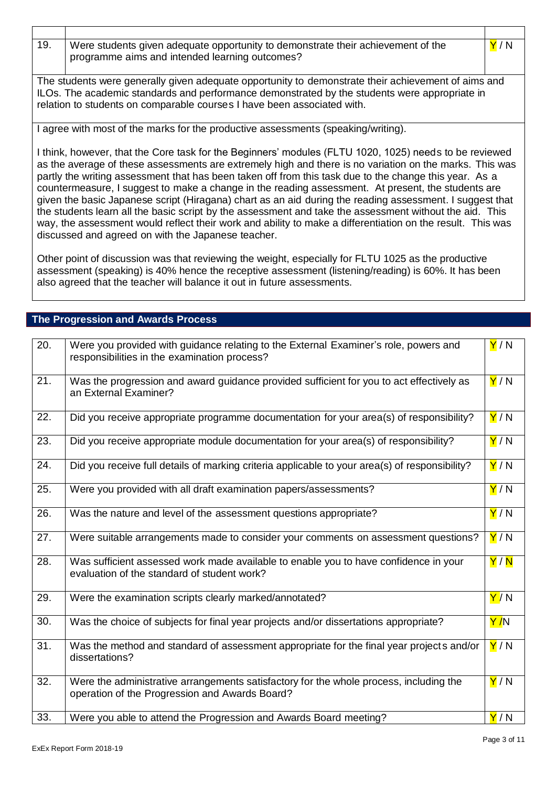19. Were students given adequate opportunity to demonstrate their achievement of the programme aims and intended learning outcomes?

The students were generally given adequate opportunity to demonstrate their achievement of aims and ILOs. The academic standards and performance demonstrated by the students were appropriate in relation to students on comparable courses I have been associated with.

I agree with most of the marks for the productive assessments (speaking/writing).

I think, however, that the Core task for the Beginners' modules (FLTU 1020, 1025) needs to be reviewed as the average of these assessments are extremely high and there is no variation on the marks. This was partly the writing assessment that has been taken off from this task due to the change this year. As a countermeasure, I suggest to make a change in the reading assessment. At present, the students are given the basic Japanese script (Hiragana) chart as an aid during the reading assessment. I suggest that the students learn all the basic script by the assessment and take the assessment without the aid. This way, the assessment would reflect their work and ability to make a differentiation on the result. This was discussed and agreed on with the Japanese teacher.

Other point of discussion was that reviewing the weight, especially for FLTU 1025 as the productive assessment (speaking) is 40% hence the receptive assessment (listening/reading) is 60%. It has been also agreed that the teacher will balance it out in future assessments.

## **The Progression and Awards Process**

| 20. | Were you provided with guidance relating to the External Examiner's role, powers and<br>responsibilities in the examination process?     | Y/N                |
|-----|------------------------------------------------------------------------------------------------------------------------------------------|--------------------|
| 21. | Was the progression and award guidance provided sufficient for you to act effectively as<br>an External Examiner?                        | Y/N                |
| 22. | Did you receive appropriate programme documentation for your area(s) of responsibility?                                                  | Y/N                |
| 23. | Did you receive appropriate module documentation for your area(s) of responsibility?                                                     | Y/N                |
| 24. | Did you receive full details of marking criteria applicable to your area(s) of responsibility?                                           | Y/N                |
| 25. | Were you provided with all draft examination papers/assessments?                                                                         | Y/N                |
| 26. | Was the nature and level of the assessment questions appropriate?                                                                        | Y/N                |
| 27. | Were suitable arrangements made to consider your comments on assessment questions?                                                       | Y/N                |
| 28. | Was sufficient assessed work made available to enable you to have confidence in your<br>evaluation of the standard of student work?      | Y/N                |
| 29. | Were the examination scripts clearly marked/annotated?                                                                                   | Y/N                |
| 30. | Was the choice of subjects for final year projects and/or dissertations appropriate?                                                     | <mark>Y /</mark> N |
| 31. | Was the method and standard of assessment appropriate for the final year projects and/or<br>dissertations?                               | Y/N                |
| 32. | Were the administrative arrangements satisfactory for the whole process, including the<br>operation of the Progression and Awards Board? | Y/N                |
| 33. | Were you able to attend the Progression and Awards Board meeting?                                                                        | Y/N                |

Y / N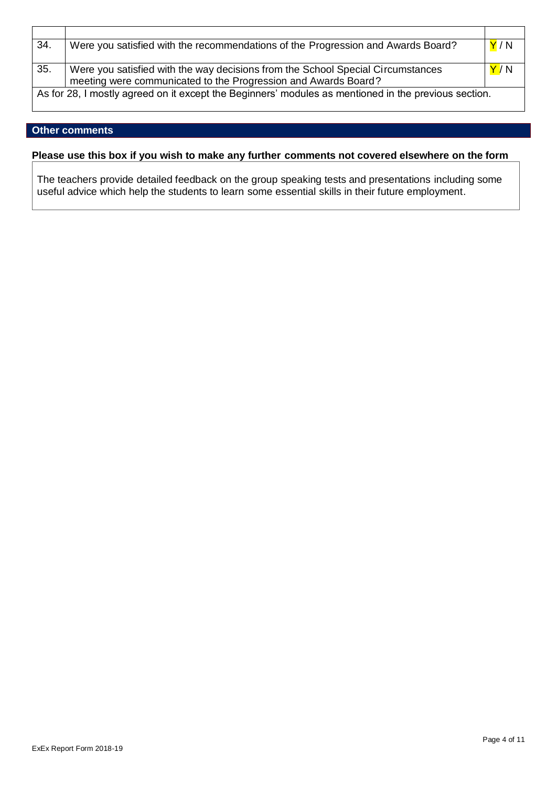| 34. | Were you satisfied with the recommendations of the Progression and Awards Board?                     | Y/N                     |
|-----|------------------------------------------------------------------------------------------------------|-------------------------|
| 35. | Were you satisfied with the way decisions from the School Special Circumstances                      | $\mathsf{Y}^{\prime}$ N |
|     | meeting were communicated to the Progression and Awards Board?                                       |                         |
|     | As for 28, I mostly agreed on it except the Beginners' modules as mentioned in the previous section. |                         |

## **Other comments**

### **Please use this box if you wish to make any further comments not covered elsewhere on the form**

The teachers provide detailed feedback on the group speaking tests and presentations including some useful advice which help the students to learn some essential skills in their future employment.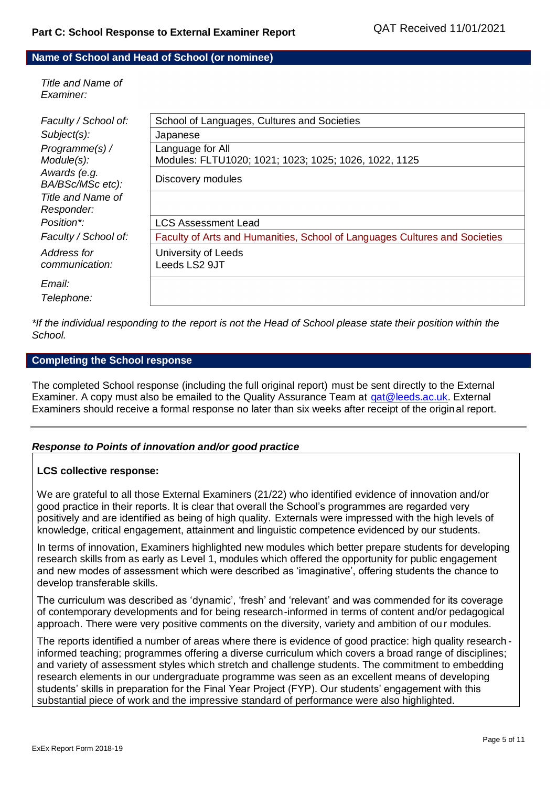### **Name of School and Head of School (or nominee)**

*Title and Name of Examiner:*

| Faculty / School of:             | School of Languages, Cultures and Societies                                |
|----------------------------------|----------------------------------------------------------------------------|
| $Subject(s)$ :                   | Japanese                                                                   |
| Programme(s) /                   | Language for All                                                           |
| Module(s):                       | Modules: FLTU1020; 1021; 1023; 1025; 1026, 1022, 1125                      |
| Awards (e.g.<br>BA/BSc/MSc etc): | Discovery modules                                                          |
| Title and Name of                |                                                                            |
| Responder:                       |                                                                            |
| Position*:                       | <b>LCS Assessment Lead</b>                                                 |
| Faculty / School of:             | Faculty of Arts and Humanities, School of Languages Cultures and Societies |
| Address for                      | University of Leeds                                                        |
| communication:                   | Leeds LS2 9JT                                                              |
| Email:                           |                                                                            |
| Telephone:                       |                                                                            |
|                                  |                                                                            |

*\*If the individual responding to the report is not the Head of School please state their position within the School.*

### **Completing the School response**

The completed School response (including the full original report) must be sent directly to the External Examiner. A copy must also be emailed to the Quality Assurance Team at [qat@leeds.ac.uk.](mailto:qat@leeds.ac.uk) External Examiners should receive a formal response no later than six weeks after receipt of the original report.

### *Response to Points of innovation and/or good practice*

### **LCS collective response:**

We are grateful to all those External Examiners (21/22) who identified evidence of innovation and/or good practice in their reports. It is clear that overall the School's programmes are regarded very positively and are identified as being of high quality. Externals were impressed with the high levels of knowledge, critical engagement, attainment and linguistic competence evidenced by our students.

In terms of innovation, Examiners highlighted new modules which better prepare students for developing research skills from as early as Level 1, modules which offered the opportunity for public engagement and new modes of assessment which were described as 'imaginative', offering students the chance to develop transferable skills.

The curriculum was described as 'dynamic', 'fresh' and 'relevant' and was commended for its coverage of contemporary developments and for being research-informed in terms of content and/or pedagogical approach. There were very positive comments on the diversity, variety and ambition of ou r modules.

The reports identified a number of areas where there is evidence of good practice: high quality research informed teaching; programmes offering a diverse curriculum which covers a broad range of disciplines; and variety of assessment styles which stretch and challenge students. The commitment to embedding research elements in our undergraduate programme was seen as an excellent means of developing students' skills in preparation for the Final Year Project (FYP). Our students' engagement with this substantial piece of work and the impressive standard of performance were also highlighted.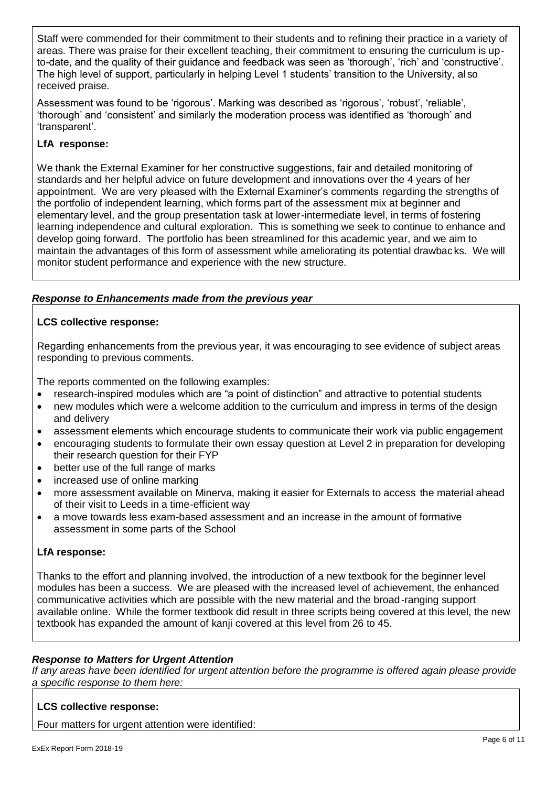Staff were commended for their commitment to their students and to refining their practice in a variety of areas. There was praise for their excellent teaching, their commitment to ensuring the curriculum is upto-date, and the quality of their guidance and feedback was seen as 'thorough', 'rich' and 'constructive'. The high level of support, particularly in helping Level 1 students' transition to the University, al so received praise.

Assessment was found to be 'rigorous'. Marking was described as 'rigorous', 'robust', 'reliable', 'thorough' and 'consistent' and similarly the moderation process was identified as 'thorough' and 'transparent'.

# **LfA response:**

We thank the External Examiner for her constructive suggestions, fair and detailed monitoring of standards and her helpful advice on future development and innovations over the 4 years of her appointment. We are very pleased with the External Examiner's comments regarding the strengths of the portfolio of independent learning, which forms part of the assessment mix at beginner and elementary level, and the group presentation task at lower-intermediate level, in terms of fostering learning independence and cultural exploration. This is something we seek to continue to enhance and develop going forward. The portfolio has been streamlined for this academic year, and we aim to maintain the advantages of this form of assessment while ameliorating its potential drawbac ks. We will monitor student performance and experience with the new structure.

# *Response to Enhancements made from the previous year*

## **LCS collective response:**

Regarding enhancements from the previous year, it was encouraging to see evidence of subject areas responding to previous comments.

The reports commented on the following examples:

- research-inspired modules which are "a point of distinction" and attractive to potential students
- new modules which were a welcome addition to the curriculum and impress in terms of the design and delivery
- assessment elements which encourage students to communicate their work via public engagement
- encouraging students to formulate their own essay question at Level 2 in preparation for developing their research question for their FYP
- better use of the full range of marks
- increased use of online marking
- more assessment available on Minerva, making it easier for Externals to access the material ahead of their visit to Leeds in a time-efficient way
- a move towards less exam-based assessment and an increase in the amount of formative assessment in some parts of the School

# **LfA response:**

Thanks to the effort and planning involved, the introduction of a new textbook for the beginner level modules has been a success. We are pleased with the increased level of achievement, the enhanced communicative activities which are possible with the new material and the broad-ranging support available online. While the former textbook did result in three scripts being covered at this level, the new textbook has expanded the amount of kanji covered at this level from 26 to 45.

# *Response to Matters for Urgent Attention*

*If any areas have been identified for urgent attention before the programme is offered again please provide a specific response to them here:*

# **LCS collective response:**

Four matters for urgent attention were identified: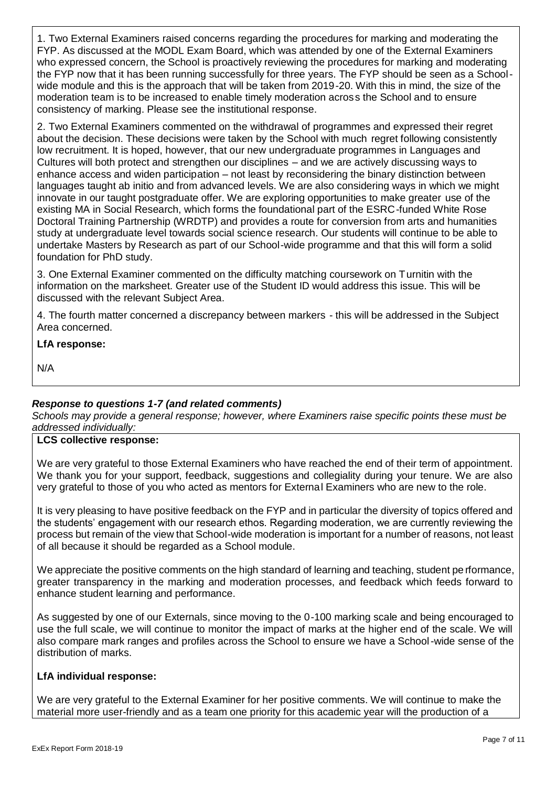1. Two External Examiners raised concerns regarding the procedures for marking and moderating the FYP. As discussed at the MODL Exam Board, which was attended by one of the External Examiners who expressed concern, the School is proactively reviewing the procedures for marking and moderating the FYP now that it has been running successfully for three years. The FYP should be seen as a Schoolwide module and this is the approach that will be taken from 2019-20. With this in mind, the size of the moderation team is to be increased to enable timely moderation across the School and to ensure consistency of marking. Please see the institutional response.

2. Two External Examiners commented on the withdrawal of programmes and expressed their regret about the decision. These decisions were taken by the School with much regret following consistently low recruitment. It is hoped, however, that our new undergraduate programmes in Languages and Cultures will both protect and strengthen our disciplines – and we are actively discussing ways to enhance access and widen participation – not least by reconsidering the binary distinction between languages taught ab initio and from advanced levels. We are also considering ways in which we might innovate in our taught postgraduate offer. We are exploring opportunities to make greater use of the existing MA in Social Research, which forms the foundational part of the ESRC-funded White Rose Doctoral Training Partnership (WRDTP) and provides a route for conversion from arts and humanities study at undergraduate level towards social science research. Our students will continue to be able to undertake Masters by Research as part of our School-wide programme and that this will form a solid foundation for PhD study.

3. One External Examiner commented on the difficulty matching coursework on Turnitin with the information on the marksheet. Greater use of the Student ID would address this issue. This will be discussed with the relevant Subject Area.

4. The fourth matter concerned a discrepancy between markers - this will be addressed in the Subject Area concerned.

## **LfA response:**

N/A

# *Response to questions 1-7 (and related comments)*

*Schools may provide a general response; however, where Examiners raise specific points these must be addressed individually:*

## **LCS collective response:**

We are very grateful to those External Examiners who have reached the end of their term of appointment. We thank you for your support, feedback, suggestions and collegiality during your tenure. We are also very grateful to those of you who acted as mentors for External Examiners who are new to the role.

It is very pleasing to have positive feedback on the FYP and in particular the diversity of topics offered and the students' engagement with our research ethos. Regarding moderation, we are currently reviewing the process but remain of the view that School-wide moderation is important for a number of reasons, not least of all because it should be regarded as a School module.

We appreciate the positive comments on the high standard of learning and teaching, student pe rformance, greater transparency in the marking and moderation processes, and feedback which feeds forward to enhance student learning and performance.

As suggested by one of our Externals, since moving to the 0-100 marking scale and being encouraged to use the full scale, we will continue to monitor the impact of marks at the higher end of the scale. We will also compare mark ranges and profiles across the School to ensure we have a School-wide sense of the distribution of marks.

## **LfA individual response:**

We are very grateful to the External Examiner for her positive comments. We will continue to make the material more user-friendly and as a team one priority for this academic year will the production of a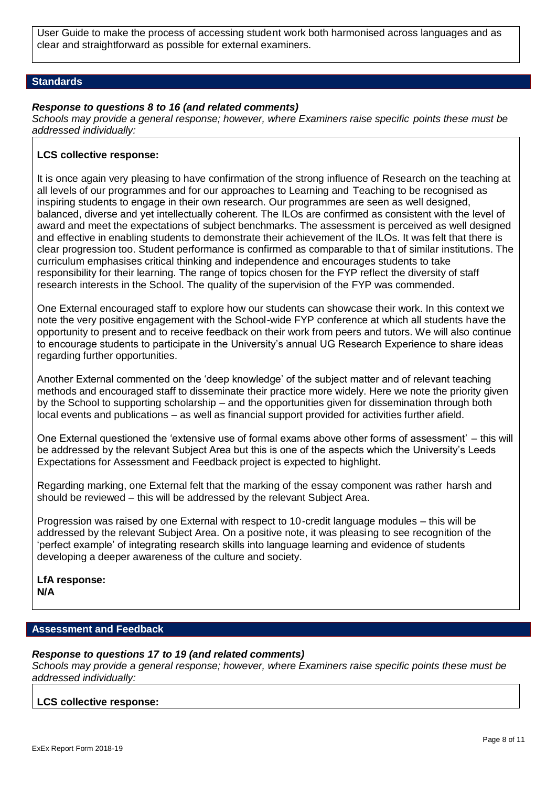User Guide to make the process of accessing student work both harmonised across languages and as clear and straightforward as possible for external examiners.

### **Standards**

### *Response to questions 8 to 16 (and related comments)*

*Schools may provide a general response; however, where Examiners raise specific points these must be addressed individually:*

### **LCS collective response:**

It is once again very pleasing to have confirmation of the strong influence of Research on the teaching at all levels of our programmes and for our approaches to Learning and Teaching to be recognised as inspiring students to engage in their own research. Our programmes are seen as well designed, balanced, diverse and yet intellectually coherent. The ILOs are confirmed as consistent with the level of award and meet the expectations of subject benchmarks. The assessment is perceived as well designed and effective in enabling students to demonstrate their achievement of the ILOs. It was felt that there is clear progression too. Student performance is confirmed as comparable to that of similar institutions. The curriculum emphasises critical thinking and independence and encourages students to take responsibility for their learning. The range of topics chosen for the FYP reflect the diversity of staff research interests in the School. The quality of the supervision of the FYP was commended.

One External encouraged staff to explore how our students can showcase their work. In this context we note the very positive engagement with the School-wide FYP conference at which all students have the opportunity to present and to receive feedback on their work from peers and tutors. We will also continue to encourage students to participate in the University's annual UG Research Experience to share ideas regarding further opportunities.

Another External commented on the 'deep knowledge' of the subject matter and of relevant teaching methods and encouraged staff to disseminate their practice more widely. Here we note the priority given by the School to supporting scholarship – and the opportunities given for dissemination through both local events and publications – as well as financial support provided for activities further afield.

One External questioned the 'extensive use of formal exams above other forms of assessment' – this will be addressed by the relevant Subject Area but this is one of the aspects which the University's Leeds Expectations for Assessment and Feedback project is expected to highlight.

Regarding marking, one External felt that the marking of the essay component was rather harsh and should be reviewed – this will be addressed by the relevant Subject Area.

Progression was raised by one External with respect to 10-credit language modules – this will be addressed by the relevant Subject Area. On a positive note, it was pleasing to see recognition of the 'perfect example' of integrating research skills into language learning and evidence of students developing a deeper awareness of the culture and society.

**LfA response: N/A**

### **Assessment and Feedback**

### *Response to questions 17 to 19 (and related comments)*

*Schools may provide a general response; however, where Examiners raise specific points these must be addressed individually:*

### **LCS collective response:**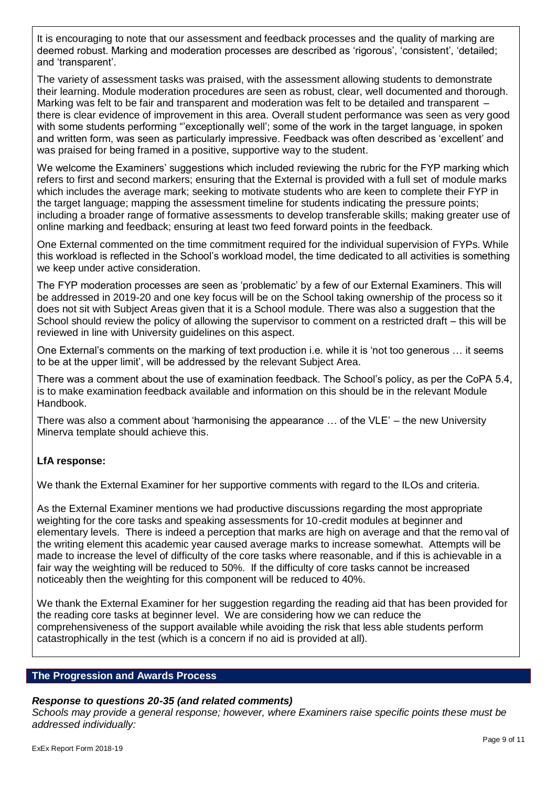It is encouraging to note that our assessment and feedback processes and the quality of marking are deemed robust. Marking and moderation processes are described as 'rigorous', 'consistent', 'detailed; and 'transparent'.

The variety of assessment tasks was praised, with the assessment allowing students to demonstrate their learning. Module moderation procedures are seen as robust, clear, well documented and thorough. Marking was felt to be fair and transparent and moderation was felt to be detailed and transparent – there is clear evidence of improvement in this area. Overall student performance was seen as very good with some students performing "exceptionally well'; some of the work in the target language, in spoken and written form, was seen as particularly impressive. Feedback was often described as 'excellent' and was praised for being framed in a positive, supportive way to the student.

We welcome the Examiners' suggestions which included reviewing the rubric for the FYP marking which refers to first and second markers; ensuring that the External is provided with a full set of module marks which includes the average mark; seeking to motivate students who are keen to complete their FYP in the target language; mapping the assessment timeline for students indicating the pressure points; including a broader range of formative assessments to develop transferable skills; making greater use of online marking and feedback; ensuring at least two feed forward points in the feedback.

One External commented on the time commitment required for the individual supervision of FYPs. While this workload is reflected in the School's workload model, the time dedicated to all activities is something we keep under active consideration.

The FYP moderation processes are seen as 'problematic' by a few of our External Examiners. This will be addressed in 2019-20 and one key focus will be on the School taking ownership of the process so it does not sit with Subject Areas given that it is a School module. There was also a suggestion that the School should review the policy of allowing the supervisor to comment on a restricted draft – this will be reviewed in line with University guidelines on this aspect.

One External's comments on the marking of text production i.e. while it is 'not too generous … it seems to be at the upper limit', will be addressed by the relevant Subject Area.

There was a comment about the use of examination feedback. The School's policy, as per the CoPA 5.4, is to make examination feedback available and information on this should be in the relevant Module Handbook.

There was also a comment about 'harmonising the appearance … of the VLE' – the new University Minerva template should achieve this.

# **LfA response:**

We thank the External Examiner for her supportive comments with regard to the ILOs and criteria.

As the External Examiner mentions we had productive discussions regarding the most appropriate weighting for the core tasks and speaking assessments for 10-credit modules at beginner and elementary levels. There is indeed a perception that marks are high on average and that the remo val of the writing element this academic year caused average marks to increase somewhat. Attempts will be made to increase the level of difficulty of the core tasks where reasonable, and if this is achievable in a fair way the weighting will be reduced to 50%. If the difficulty of core tasks cannot be increased noticeably then the weighting for this component will be reduced to 40%.

We thank the External Examiner for her suggestion regarding the reading aid that has been provided for the reading core tasks at beginner level. We are considering how we can reduce the comprehensiveness of the support available while avoiding the risk that less able students perform catastrophically in the test (which is a concern if no aid is provided at all).

### **The Progression and Awards Process**

# *Response to questions 20-35 (and related comments)*

*Schools may provide a general response; however, where Examiners raise specific points these must be addressed individually:*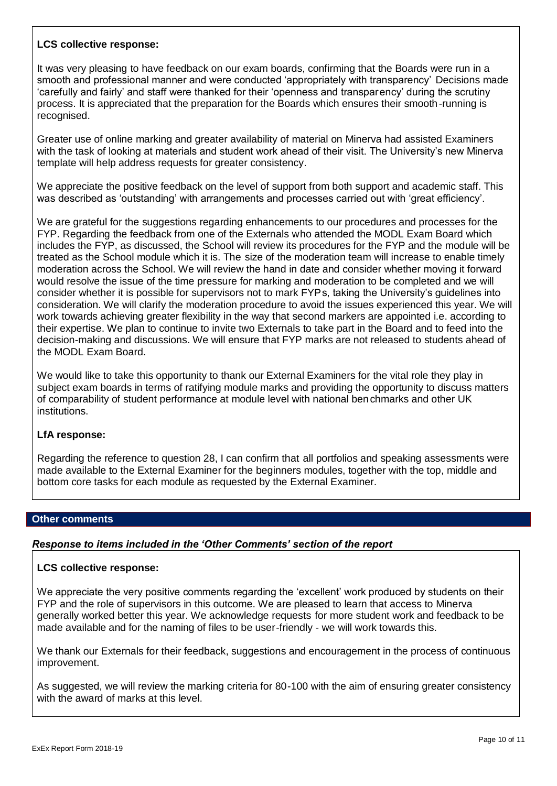## **LCS collective response:**

It was very pleasing to have feedback on our exam boards, confirming that the Boards were run in a smooth and professional manner and were conducted 'appropriately with transparency' Decisions made 'carefully and fairly' and staff were thanked for their 'openness and transparency' during the scrutiny process. It is appreciated that the preparation for the Boards which ensures their smooth-running is recognised.

Greater use of online marking and greater availability of material on Minerva had assisted Examiners with the task of looking at materials and student work ahead of their visit. The University's new Minerva template will help address requests for greater consistency.

We appreciate the positive feedback on the level of support from both support and academic staff. This was described as 'outstanding' with arrangements and processes carried out with 'great efficiency'.

We are grateful for the suggestions regarding enhancements to our procedures and processes for the FYP. Regarding the feedback from one of the Externals who attended the MODL Exam Board which includes the FYP, as discussed, the School will review its procedures for the FYP and the module will be treated as the School module which it is. The size of the moderation team will increase to enable timely moderation across the School. We will review the hand in date and consider whether moving it forward would resolve the issue of the time pressure for marking and moderation to be completed and we will consider whether it is possible for supervisors not to mark FYPs, taking the University's guidelines into consideration. We will clarify the moderation procedure to avoid the issues experienced this year. We will work towards achieving greater flexibility in the way that second markers are appointed i.e. according to their expertise. We plan to continue to invite two Externals to take part in the Board and to feed into the decision-making and discussions. We will ensure that FYP marks are not released to students ahead of the MODL Exam Board.

We would like to take this opportunity to thank our External Examiners for the vital role they play in subject exam boards in terms of ratifying module marks and providing the opportunity to discuss matters of comparability of student performance at module level with national benchmarks and other UK institutions.

## **LfA response:**

Regarding the reference to question 28, I can confirm that all portfolios and speaking assessments were made available to the External Examiner for the beginners modules, together with the top, middle and bottom core tasks for each module as requested by the External Examiner.

## **Other comments**

## *Response to items included in the 'Other Comments' section of the report*

## **LCS collective response:**

We appreciate the very positive comments regarding the 'excellent' work produced by students on their FYP and the role of supervisors in this outcome. We are pleased to learn that access to Minerva generally worked better this year. We acknowledge requests for more student work and feedback to be made available and for the naming of files to be user-friendly - we will work towards this.

We thank our Externals for their feedback, suggestions and encouragement in the process of continuous improvement.

As suggested, we will review the marking criteria for 80-100 with the aim of ensuring greater consistency with the award of marks at this level.